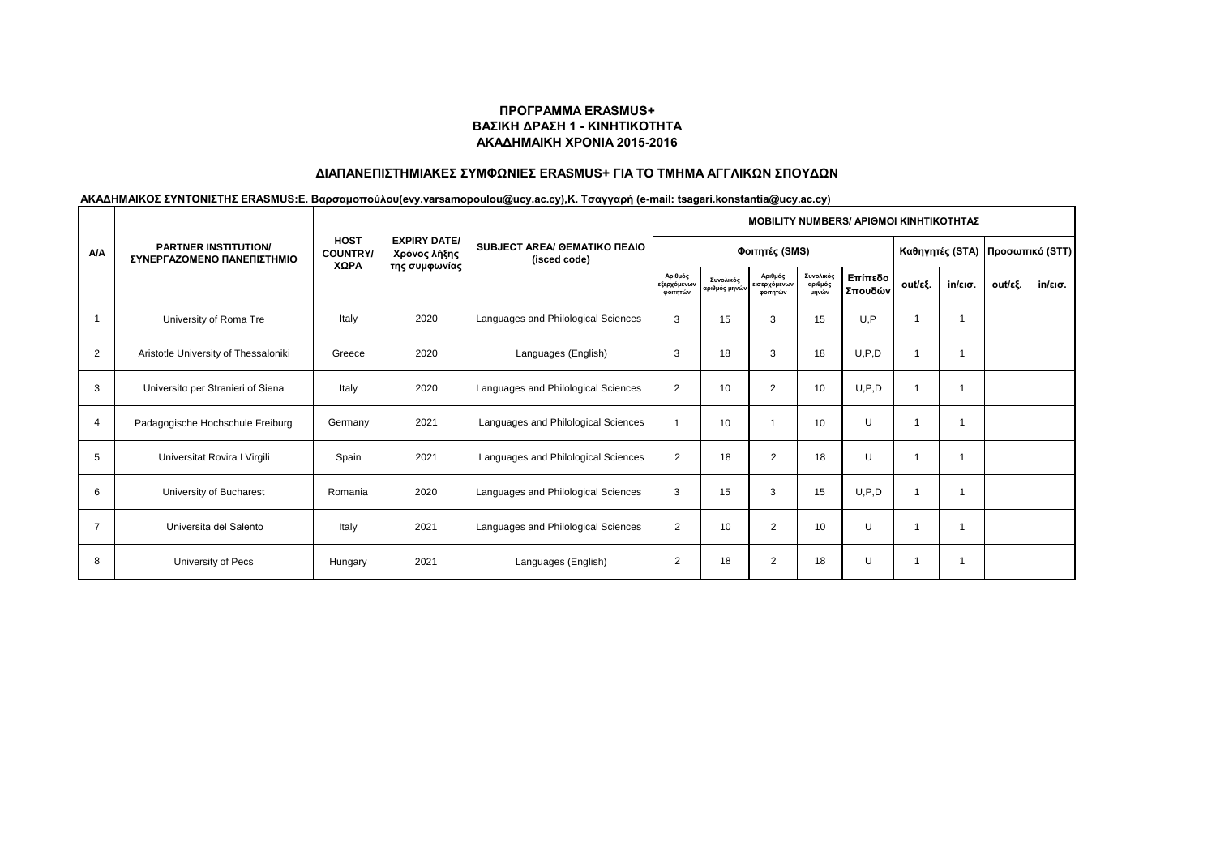# **ΔΙΑΠΑΝΕΠΙΣΤΗΜΙΑΚΕΣ ΣΥΜΦΩΝΙΕΣ ERASMUS+ ΓΙΑ ΤΟ ΤΜΗΜΑ ΑΓΓΛΙΚΩΝ ΣΠΟΥΔΩΝ**

|                | <b>PARTNER INSTITUTION/</b><br>ΣΥΝΕΡΓΑΖΟΜΕΝΟ ΠΑΝΕΠΙΣΤΗΜΙΟ |                                        |                                     | SUBJECT AREA/ GEMATIKO ΠΕΔΙΟ<br>(isced code) | <b>MOBILITY NUMBERS/ APIOMOI KINHTIKOTHTAZ</b> |                            |                                     |                               |                    |                 |                   |         |         |  |  |
|----------------|-----------------------------------------------------------|----------------------------------------|-------------------------------------|----------------------------------------------|------------------------------------------------|----------------------------|-------------------------------------|-------------------------------|--------------------|-----------------|-------------------|---------|---------|--|--|
| <b>A/A</b>     |                                                           | <b>HOST</b><br><b>COUNTRY/</b><br>ΧΩΡΑ | <b>EXPIRY DATE/</b><br>Χρόνος λήξης |                                              |                                                | Φοιτητές (SMS)             |                                     | Καθηγητές (STA)               |                    | Προσωπικό (STT) |                   |         |         |  |  |
|                |                                                           |                                        | της συμφωνίας                       |                                              | Αριθμός<br>εξερχόμενων<br>φοιτητών             | Συνολικός<br>αριθμός μηνών | Αριθμός<br>εισερχόμενων<br>φοιτητών | Συνολικός<br>αριθμός<br>μηνών | Επίπεδο<br>Σπουδών | out/εξ.         | $in/\epsilon$ ισ. | out/εξ. | in/εισ. |  |  |
|                | University of Roma Tre                                    | Italy                                  | 2020                                | Languages and Philological Sciences          | 3                                              | 15                         | 3                                   | 15                            | U.P                |                 | 1                 |         |         |  |  |
| 2              | Aristotle University of Thessaloniki                      | Greece                                 | 2020                                | Languages (English)                          | 3                                              | 18                         | 3                                   | 18                            | U, P, D            |                 |                   |         |         |  |  |
| 3              | Universita per Stranieri of Siena                         | Italy                                  | 2020                                | Languages and Philological Sciences          | $\overline{2}$                                 | 10                         | $\overline{2}$                      | 10                            | U.P.D              |                 | 1                 |         |         |  |  |
| 4              | Padagogische Hochschule Freiburg                          | Germany                                | 2021                                | Languages and Philological Sciences          |                                                | 10                         |                                     | 10                            | U                  |                 | 1                 |         |         |  |  |
| 5              | Universitat Rovira I Virgili                              | Spain                                  | 2021                                | Languages and Philological Sciences          | $\overline{2}$                                 | 18                         | 2                                   | 18                            | U                  |                 |                   |         |         |  |  |
| 6              | University of Bucharest                                   | Romania                                | 2020                                | Languages and Philological Sciences          | 3                                              | 15                         | 3                                   | 15                            | U.P.D              |                 | 1                 |         |         |  |  |
| $\overline{7}$ | Universita del Salento                                    | Italy                                  | 2021                                | Languages and Philological Sciences          | 2                                              | 10                         | 2                                   | 10                            | U                  |                 |                   |         |         |  |  |
| 8              | University of Pecs                                        | Hungary                                | 2021                                | Languages (English)                          | $\overline{2}$                                 | 18                         | 2                                   | 18                            | U                  |                 | 1                 |         |         |  |  |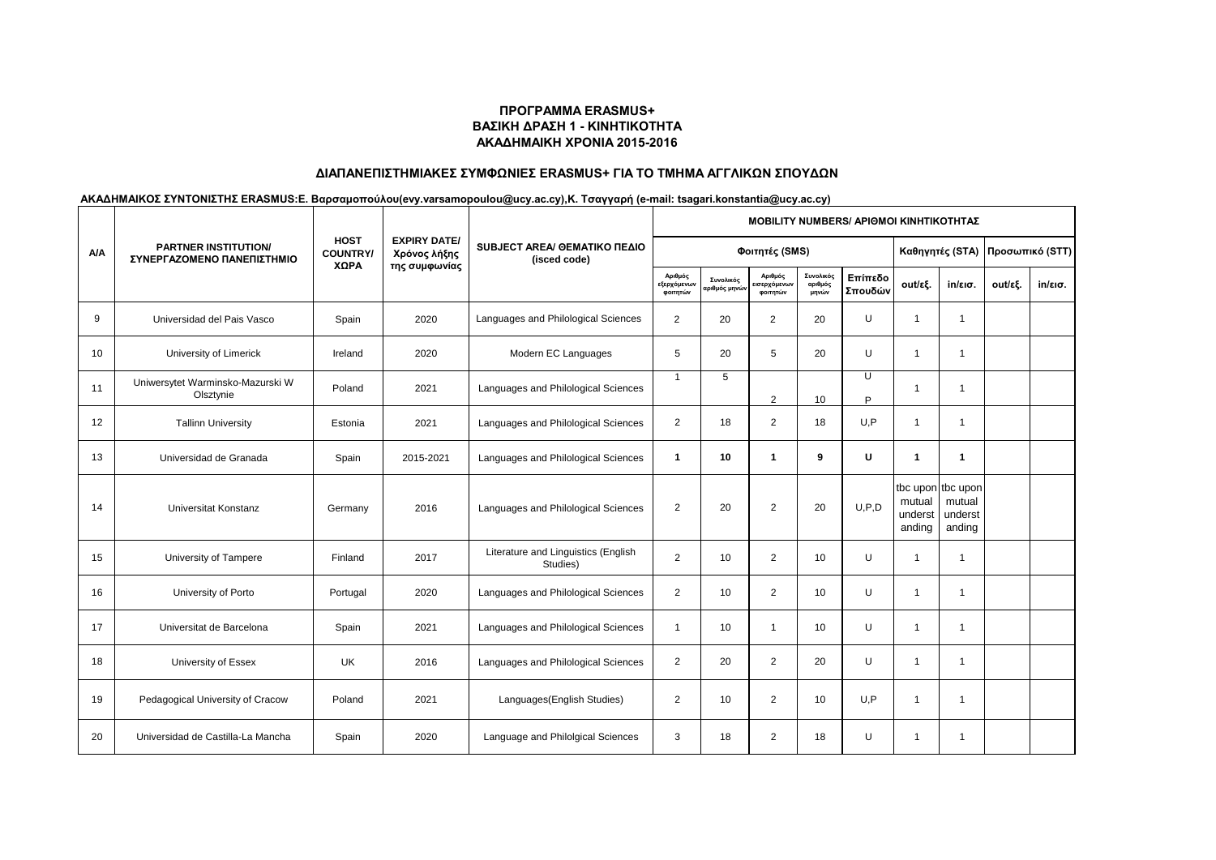# **ΔΙΑΠΑΝΕΠΙΣΤΗΜΙΑΚΕΣ ΣΥΜΦΩΝΙΕΣ ERASMUS+ ΓΙΑ ΤΟ ΤΜΗΜΑ ΑΓΓΛΙΚΩΝ ΣΠΟΥΔΩΝ**

|            | <b>PARTNER INSTITUTION/</b><br>ΣΥΝΕΡΓΑΖΟΜΕΝΟ ΠΑΝΕΠΙΣΤΗΜΙΟ | <b>HOST</b><br><b>COUNTRY/</b> |                                                      |                                                 | <b>ΜΟΒΙLITY NUMBERS/ ΑΡΙΘΜΟΙ ΚΙΝΗΤΙΚΟΤΗΤΑΣ</b> |                           |                                     |                               |                    |                             |                                                  |         |         |  |  |
|------------|-----------------------------------------------------------|--------------------------------|------------------------------------------------------|-------------------------------------------------|------------------------------------------------|---------------------------|-------------------------------------|-------------------------------|--------------------|-----------------------------|--------------------------------------------------|---------|---------|--|--|
| <b>A/A</b> |                                                           |                                | <b>EXPIRY DATE/</b><br>Χρόνος λήξης<br>της συμφωνίας | SUBJECT AREA/ GEMATIKO ΠΕΔΙΟ<br>(isced code)    |                                                | Φοιτητές (SMS)            | Καθηγητές (STA)                     |                               | Προσωπικό (STT)    |                             |                                                  |         |         |  |  |
|            |                                                           | ΧΩΡΑ                           |                                                      |                                                 | Αριθμός<br>εξερχόμενων<br>φοιτητών             | Συνολικός<br>ιριθμός μηνώ | Αριθμός<br>εισερχόμενων<br>φοιτητών | Συνολικός<br>αριθμός<br>μηνών | Επίπεδο<br>Σπουδών | out/εξ.                     | $in/\epsilon$ ισ.                                | out/εξ. | in/εισ. |  |  |
| 9          | Universidad del Pais Vasco                                | Spain                          | 2020                                                 | Languages and Philological Sciences             | 2                                              | 20                        | $\overline{2}$                      | 20                            | U                  | $\overline{1}$              | $\overline{1}$                                   |         |         |  |  |
| 10         | University of Limerick                                    | Ireland                        | 2020                                                 | Modern EC Languages                             | 5                                              | 20                        | 5                                   | 20                            | U                  | $\overline{1}$              | $\mathbf{1}$                                     |         |         |  |  |
| 11         | Uniwersytet Warminsko-Mazurski W<br>Olsztynie             | Poland                         | 2021                                                 | Languages and Philological Sciences             | $\overline{1}$                                 | 5                         | 2                                   | 10                            | U<br>Þ             |                             | 1                                                |         |         |  |  |
| 12         | <b>Tallinn University</b>                                 | Estonia                        | 2021                                                 | Languages and Philological Sciences             | $\overline{2}$                                 | 18                        | 2                                   | 18                            | U,P                | $\overline{1}$              | $\mathbf 1$                                      |         |         |  |  |
| 13         | Universidad de Granada                                    | Spain                          | 2015-2021                                            | Languages and Philological Sciences             | $\mathbf{1}$                                   | 10                        | $\mathbf{1}$                        | 9                             | U                  | $\mathbf{1}$                | 1                                                |         |         |  |  |
| 14         | <b>Universitat Konstanz</b>                               | Germany                        | 2016                                                 | Languages and Philological Sciences             | $\overline{2}$                                 | 20                        | 2                                   | 20                            | U.P.D              | mutual<br>underst<br>anding | tbc upon tbc upon<br>mutual<br>underst<br>anding |         |         |  |  |
| 15         | University of Tampere                                     | Finland                        | 2017                                                 | Literature and Linguistics (English<br>Studies) | $\overline{2}$                                 | 10                        | $\overline{2}$                      | 10                            | U                  | $\overline{1}$              | $\overline{1}$                                   |         |         |  |  |
| 16         | University of Porto                                       | Portugal                       | 2020                                                 | Languages and Philological Sciences             | $\overline{2}$                                 | 10                        | 2                                   | 10                            | U                  | $\overline{1}$              | $\mathbf 1$                                      |         |         |  |  |
| 17         | Universitat de Barcelona                                  | Spain                          | 2021                                                 | Languages and Philological Sciences             | $\mathbf{1}$                                   | 10 <sup>1</sup>           | $\mathbf{1}$                        | 10                            | U                  | 1                           | $\mathbf 1$                                      |         |         |  |  |
| 18         | University of Essex                                       | UK                             | 2016                                                 | Languages and Philological Sciences             | $\overline{2}$                                 | 20                        | 2                                   | 20                            | U                  | $\mathbf{1}$                | $\mathbf 1$                                      |         |         |  |  |
| 19         | Pedagogical University of Cracow                          | Poland                         | 2021                                                 | Languages (English Studies)                     | $\overline{2}$                                 | 10                        | 2                                   | 10                            | U, P               | $\overline{1}$              | $\overline{1}$                                   |         |         |  |  |
| 20         | Universidad de Castilla-La Mancha                         | Spain                          | 2020                                                 | Language and Philolgical Sciences               | 3                                              | 18                        | $\overline{2}$                      | 18                            | U                  |                             | -1                                               |         |         |  |  |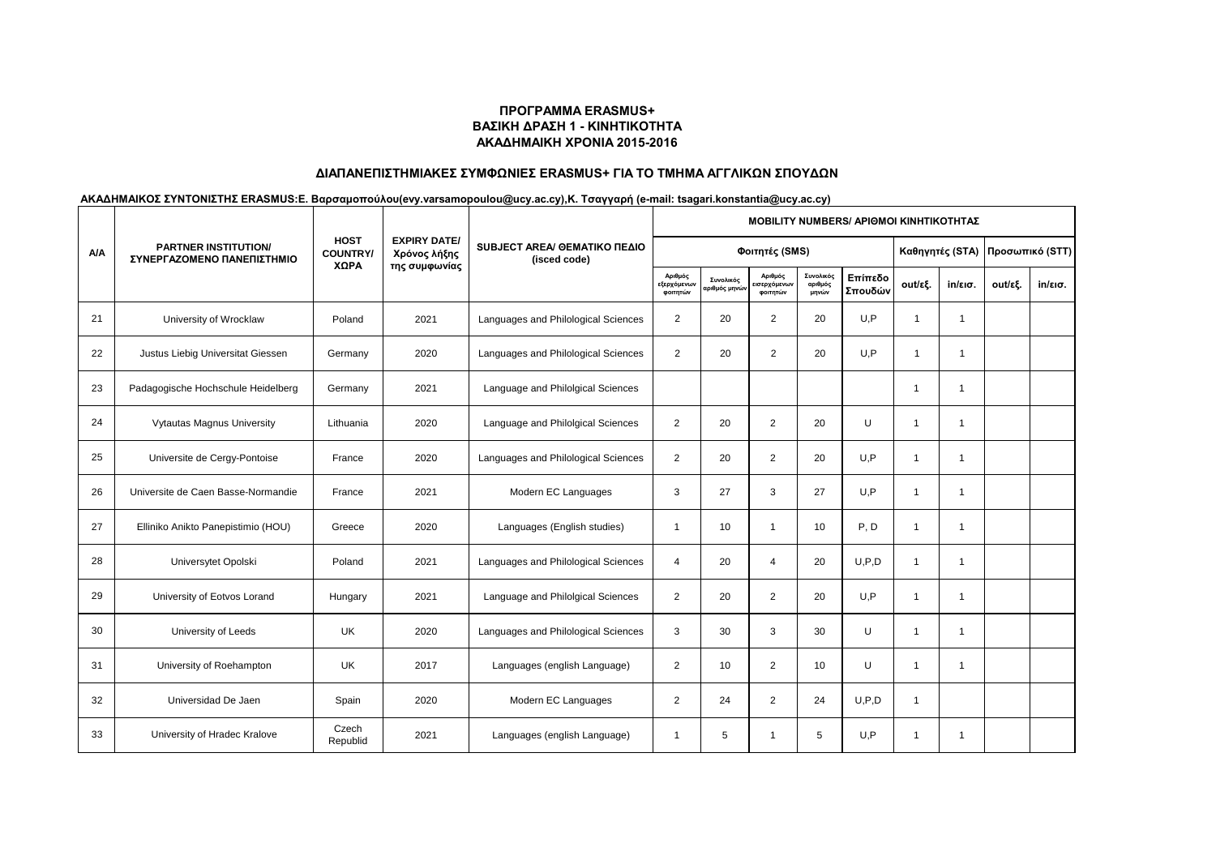# **ΔΙΑΠΑΝΕΠΙΣΤΗΜΙΑΚΕΣ ΣΥΜΦΩΝΙΕΣ ERASMUS+ ΓΙΑ ΤΟ ΤΜΗΜΑ ΑΓΓΛΙΚΩΝ ΣΠΟΥΔΩΝ**

|            | <b>PARTNER INSTITUTION/</b><br>ΣΥΝΕΡΓΑΖΟΜΕΝΟ ΠΑΝΕΠΙΣΤΗΜΙΟ | <b>HOST</b><br><b>COUNTRY/</b> |                                                      |                                              | <b>ΜΟΒΙLITY NUMBERS/ ΑΡΙΘΜΟΙ ΚΙΝΗΤΙΚΟΤΗΤΑΣ</b> |                           |                                    |                               |                    |                         |                   |         |         |  |  |
|------------|-----------------------------------------------------------|--------------------------------|------------------------------------------------------|----------------------------------------------|------------------------------------------------|---------------------------|------------------------------------|-------------------------------|--------------------|-------------------------|-------------------|---------|---------|--|--|
| <b>A/A</b> |                                                           |                                | <b>EXPIRY DATE/</b><br>Χρόνος λήξης<br>της συμφωνίας | SUBJECT AREA/ GEMATIKO ΠΕΔΙΟ<br>(isced code) |                                                | Φοιτητές (SMS)            | Καθηγητές (STA)                    |                               | Προσωπικό (STT)    |                         |                   |         |         |  |  |
|            |                                                           | ΧΩΡΑ                           |                                                      |                                              | Αριθμός<br><b>εξερχόμενω</b><br>φοιτητών       | Συνολικός<br>ιριθμός μηνώ | Αριθμός<br>ισερχόμενων<br>φοιτητών | Συνολικός<br>αριθμός<br>μηνών | Επίπεδο<br>Σπουδών | out/εξ.                 | $in/\epsilon$ ισ. | out/εξ. | in/εισ. |  |  |
| 21         | University of Wrocklaw                                    | Poland                         | 2021                                                 | Languages and Philological Sciences          | $\overline{2}$                                 | 20                        | $\overline{2}$                     | 20                            | U.P                | $\overline{1}$          | -1                |         |         |  |  |
| 22         | Justus Liebig Universitat Giessen                         | Germany                        | 2020                                                 | Languages and Philological Sciences          | $\overline{2}$                                 | 20                        | $\overline{2}$                     | 20                            | U.P                | $\mathbf{1}$            | $\mathbf{1}$      |         |         |  |  |
| 23         | Padagogische Hochschule Heidelberg                        | Germany                        | 2021                                                 | Language and Philolgical Sciences            |                                                |                           |                                    |                               |                    | -1                      | $\overline{1}$    |         |         |  |  |
| 24         | <b>Vytautas Magnus University</b>                         | Lithuania                      | 2020                                                 | Language and Philolgical Sciences            | 2                                              | 20                        | $\overline{2}$                     | 20                            | U                  |                         | -1                |         |         |  |  |
| 25         | Universite de Cergy-Pontoise                              | France                         | 2020                                                 | Languages and Philological Sciences          | 2                                              | 20                        | 2                                  | 20                            | U, P               | $\overline{\mathbf{1}}$ | -1                |         |         |  |  |
| 26         | Universite de Caen Basse-Normandie                        | France                         | 2021                                                 | Modern EC Languages                          | 3                                              | 27                        | 3                                  | 27                            | U.P                | $\overline{1}$          | 1                 |         |         |  |  |
| 27         | Elliniko Anikto Panepistimio (HOU)                        | Greece                         | 2020                                                 | Languages (English studies)                  | $\mathbf{1}$                                   | 10                        | $\mathbf{1}$                       | 10                            | P, D               | $\overline{1}$          | $\overline{1}$    |         |         |  |  |
| 28         | Universytet Opolski                                       | Poland                         | 2021                                                 | Languages and Philological Sciences          | $\overline{4}$                                 | 20                        | $\overline{4}$                     | 20                            | U.P.D              | $\overline{1}$          | $\overline{1}$    |         |         |  |  |
| 29         | University of Eotvos Lorand                               | Hungary                        | 2021                                                 | Language and Philolgical Sciences            | 2                                              | 20                        | $\overline{2}$                     | 20                            | U.P                |                         | 1                 |         |         |  |  |
| 30         | University of Leeds                                       | <b>UK</b>                      | 2020                                                 | Languages and Philological Sciences          | 3                                              | 30                        | 3                                  | 30                            | $\cup$             | $\overline{\mathbf{1}}$ | -1                |         |         |  |  |
| 31         | University of Roehampton                                  | UK                             | 2017                                                 | Languages (english Language)                 | 2                                              | 10                        | $\overline{2}$                     | 10                            | U                  | $\overline{1}$          | -1                |         |         |  |  |
| 32         | Universidad De Jaen                                       | Spain                          | 2020                                                 | Modern EC Languages                          | $\overline{2}$                                 | 24                        | $\overline{2}$                     | 24                            | U, P, D            | $\overline{1}$          |                   |         |         |  |  |
| 33         | University of Hradec Kralove                              | Czech<br>Republid              | 2021                                                 | Languages (english Language)                 | $\mathbf{1}$                                   | 5                         | $\overline{1}$                     | 5                             | U, P               | -1                      | -1                |         |         |  |  |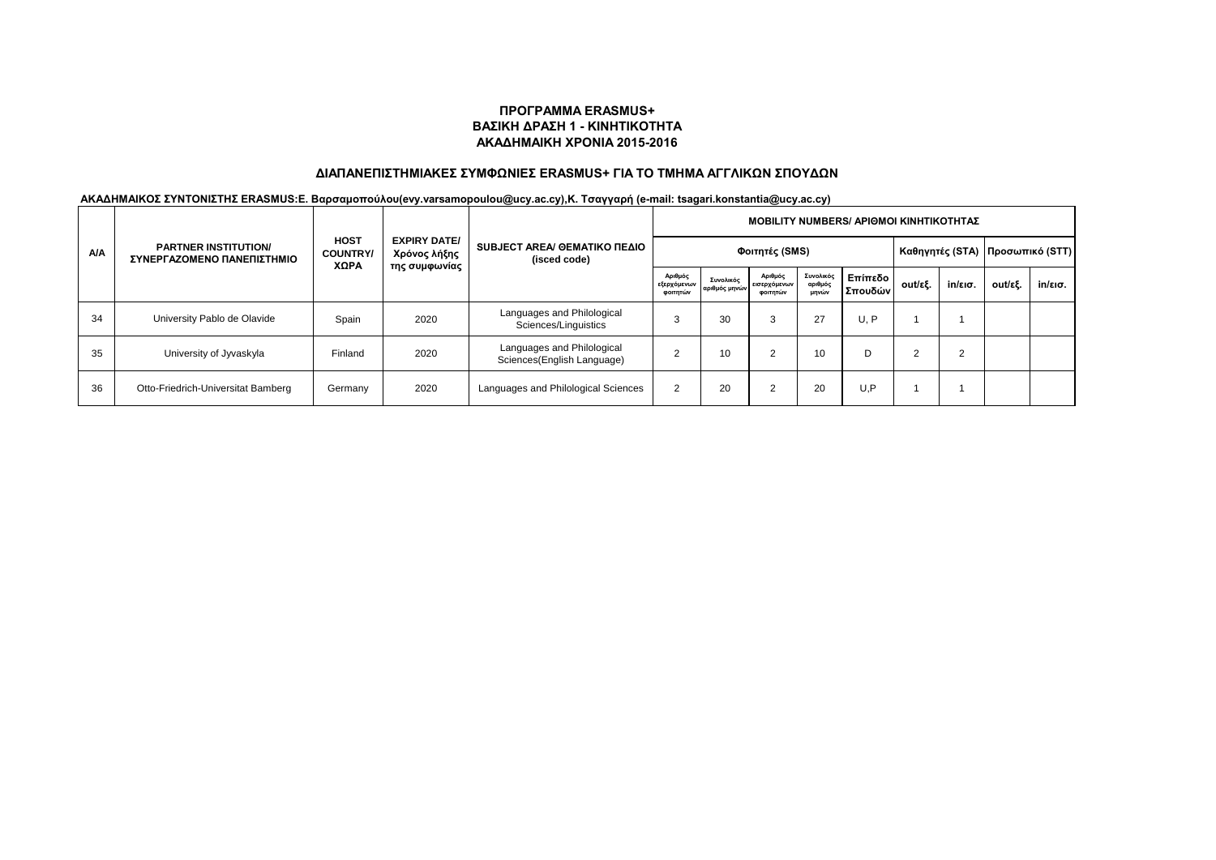# **ΔΙΑΠΑΝΕΠΙΣΤΗΜΙΑΚΕΣ ΣΥΜΦΩΝΙΕΣ ERASMUS+ ΓΙΑ ΤΟ ΤΜΗΜΑ ΑΓΓΛΙΚΩΝ ΣΠΟΥΔΩΝ**

|            | <b>PARTNER INSTITUTION/</b><br>ΣΥΝΕΡΓΑΖΟΜΕΝΟ ΠΑΝΕΠΙΣΤΗΜΙΟ | <b>HOST</b><br><b>COUNTRY</b><br>ΧΩΡΑ | <b>EXPIRY DATE/</b><br>Χρόνος λήξης<br>της συμφωνίας | SUBJECT AREA/ GEMATIKO ΠΕΔΙΟ<br>(isced code)             | MOBILITY NUMBERS/ APIΘΜΟΙ ΚΙΝΗΤΙΚΟΤΗΤΑΣ |                            |                                     |                               |                    |         |                   |                                   |         |  |  |
|------------|-----------------------------------------------------------|---------------------------------------|------------------------------------------------------|----------------------------------------------------------|-----------------------------------------|----------------------------|-------------------------------------|-------------------------------|--------------------|---------|-------------------|-----------------------------------|---------|--|--|
| <b>A/A</b> |                                                           |                                       |                                                      |                                                          | Φοιτητές (SMS)                          |                            |                                     |                               |                    |         |                   | Καθηγητές (STA)   Προσωπικό (STT) |         |  |  |
|            |                                                           |                                       |                                                      |                                                          | Αριθμός<br>εξερχόμενων<br>φοιτητών      | Συνολικός<br>αριθμός μηνών | Αριθμός<br>εισερχόμενων<br>φοιτητών | Συνολικός<br>αριθμός<br>μηνών | Επίπεδο<br>Σπουδών | out/εξ. | $in/\epsilon$ ισ. | out/εξ.                           | in/εισ. |  |  |
| 34         | University Pablo de Olavide                               | Spain                                 | 2020                                                 | Languages and Philological<br>Sciences/Linguistics       |                                         | 30                         | 3                                   | 27                            | U, P               |         |                   |                                   |         |  |  |
| 35         | University of Jyvaskyla                                   | Finland                               | 2020                                                 | Languages and Philological<br>Sciences(English Language) |                                         | 10                         |                                     | 10                            | D                  |         | 2                 |                                   |         |  |  |
| 36         | Otto-Friedrich-Universitat Bamberg                        | Germany                               | 2020                                                 | Languages and Philological Sciences                      |                                         | 20                         |                                     | 20                            | U.P                |         |                   |                                   |         |  |  |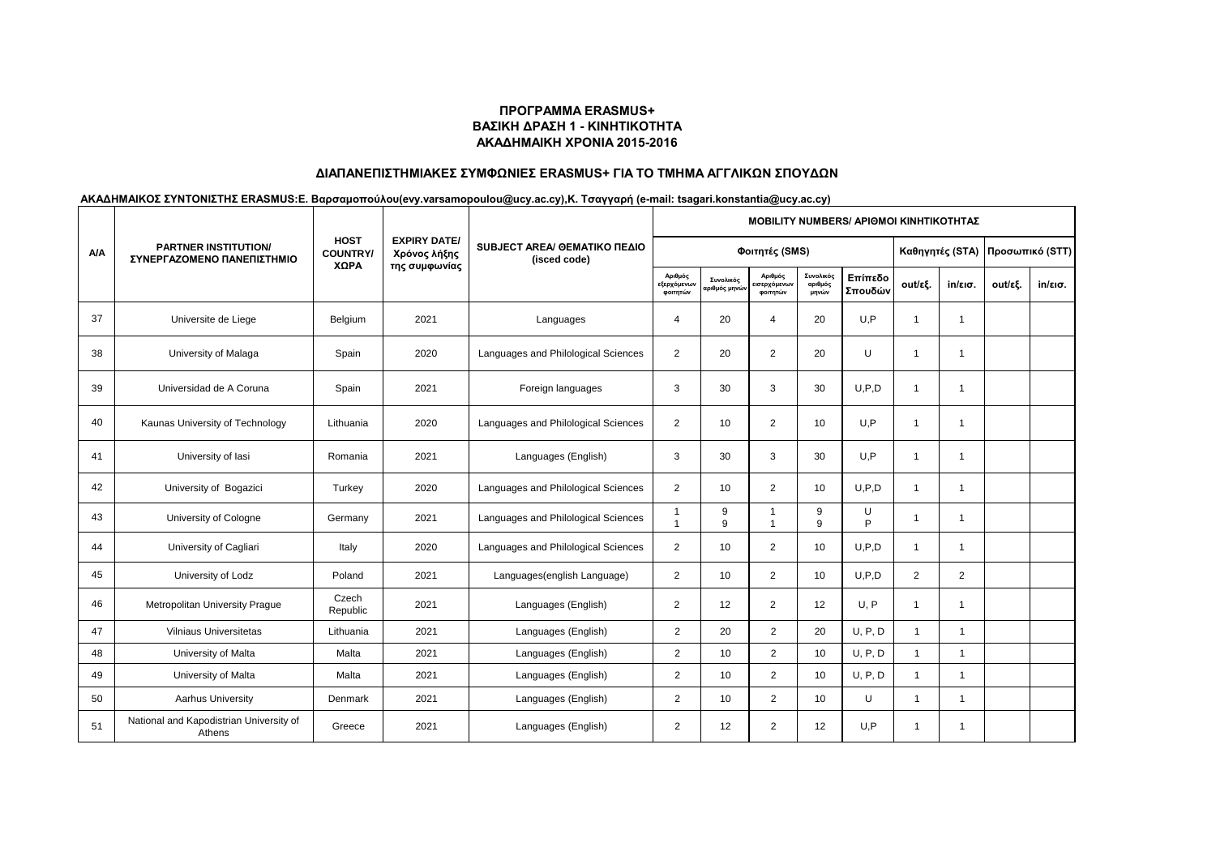# **ΔΙΑΠΑΝΕΠΙΣΤΗΜΙΑΚΕΣ ΣΥΜΦΩΝΙΕΣ ERASMUS+ ΓΙΑ ΤΟ ΤΜΗΜΑ ΑΓΓΛΙΚΩΝ ΣΠΟΥΔΩΝ**

|            | <b>PARTNER INSTITUTION/</b><br>ΣΥΝΕΡΓΑΖΟΜΕΝΟ ΠΑΝΕΠΙΣΤΗΜΙΟ |                               |                                                      | SUBJECT AREA/ GEMATIKO ΠΕΔΙΟ<br>(isced code) | <b>MOBILITY NUMBERS/ APIOMOI KINHTIKOTHTAZ</b> |                           |                                                 |                               |                    |                 |                   |         |                   |  |  |
|------------|-----------------------------------------------------------|-------------------------------|------------------------------------------------------|----------------------------------------------|------------------------------------------------|---------------------------|-------------------------------------------------|-------------------------------|--------------------|-----------------|-------------------|---------|-------------------|--|--|
| <b>A/A</b> |                                                           | <b>HOST</b><br><b>COUNTRY</b> | <b>EXPIRY DATE/</b><br>Χρόνος λήξης<br>της συμφωνίας |                                              |                                                | Φοιτητές (SMS)            |                                                 | Καθηγητές (STA)               |                    | Προσωπικό (STT) |                   |         |                   |  |  |
|            |                                                           | XΩPA                          |                                                      |                                              | Αριθμός<br>εξερχόμενων<br>φοιτητών             | Συνολικός<br>αριθμός μηνώ | Αριθμός<br><mark>ισερχόμενων</mark><br>φοιτητών | Συνολικός<br>αριθμός<br>μηνών | Επίπεδο<br>Σπουδών | out/εξ.         | $in/\epsilon$ ισ. | out/εξ. | $in/\epsilon$ ισ. |  |  |
| 37         | Universite de Liege                                       | Belgium                       | 2021                                                 | Languages                                    | 4                                              | 20                        | $\overline{4}$                                  | 20                            | U.P                | -1              | $\overline{1}$    |         |                   |  |  |
| 38         | University of Malaga                                      | Spain                         | 2020                                                 | Languages and Philological Sciences          | $\overline{2}$                                 | 20                        | 2                                               | 20                            | U                  | $\overline{1}$  | $\overline{1}$    |         |                   |  |  |
| 39         | Universidad de A Coruna                                   | Spain                         | 2021                                                 | Foreign languages                            | 3                                              | 30                        | 3                                               | 30                            | U.P.D              | $\overline{1}$  | 1                 |         |                   |  |  |
| 40         | Kaunas University of Technology                           | Lithuania                     | 2020                                                 | Languages and Philological Sciences          | $\overline{2}$                                 | 10                        | $\overline{2}$                                  | 10                            | U,P                | $\overline{1}$  | $\overline{1}$    |         |                   |  |  |
| 41         | University of lasi                                        | Romania                       | 2021                                                 | Languages (English)                          | 3                                              | 30                        | 3                                               | 30                            | U.P                | -1              | $\overline{1}$    |         |                   |  |  |
| 42         | University of Bogazici                                    | Turkey                        | 2020                                                 | Languages and Philological Sciences          | $\overline{2}$                                 | 10                        | $\overline{2}$                                  | 10                            | U.P.D              | $\overline{1}$  | -1                |         |                   |  |  |
| 43         | University of Cologne                                     | Germany                       | 2021                                                 | Languages and Philological Sciences          |                                                | 9<br>9                    | -1<br>$\overline{1}$                            | 9<br>9                        | U<br>Þ             | -1              | $\overline{1}$    |         |                   |  |  |
| 44         | University of Cagliari                                    | Italy                         | 2020                                                 | Languages and Philological Sciences          | $\overline{2}$                                 | 10                        | 2                                               | 10                            | U.P.D              |                 | -1                |         |                   |  |  |
| 45         | University of Lodz                                        | Poland                        | 2021                                                 | Languages(english Language)                  | $\overline{2}$                                 | 10                        | $\overline{2}$                                  | 10                            | U.P.D              | $\overline{2}$  | $\overline{2}$    |         |                   |  |  |
| 46         | Metropolitan University Prague                            | Czech<br>Republic             | 2021                                                 | Languages (English)                          | $\overline{2}$                                 | 12                        | 2                                               | 12                            | U, P               | -1              | 1                 |         |                   |  |  |
| 47         | <b>Vilniaus Universitetas</b>                             | Lithuania                     | 2021                                                 | Languages (English)                          | $\overline{2}$                                 | 20                        | $\overline{2}$                                  | 20                            | U, P, D            | 1               | $\mathbf{1}$      |         |                   |  |  |
| 48         | University of Malta                                       | Malta                         | 2021                                                 | Languages (English)                          | $\overline{2}$                                 | 10                        | 2                                               | 10                            | U, P, D            | 1               | $\mathbf{1}$      |         |                   |  |  |
| 49         | University of Malta                                       | Malta                         | 2021                                                 | Languages (English)                          | $\overline{2}$                                 | 10                        | $\overline{2}$                                  | 10                            | U, P, D            | 1               | $\overline{1}$    |         |                   |  |  |
| 50         | Aarhus University                                         | Denmark                       | 2021                                                 | Languages (English)                          | $\overline{2}$                                 | 10                        | $\overline{2}$                                  | 10                            | U                  | $\overline{1}$  | $\mathbf{1}$      |         |                   |  |  |
| 51         | National and Kapodistrian University of<br>Athens         | Greece                        | 2021                                                 | Languages (English)                          | $\overline{2}$                                 | 12                        | $\overline{2}$                                  | 12                            | U.P                | 1               | $\mathbf{1}$      |         |                   |  |  |